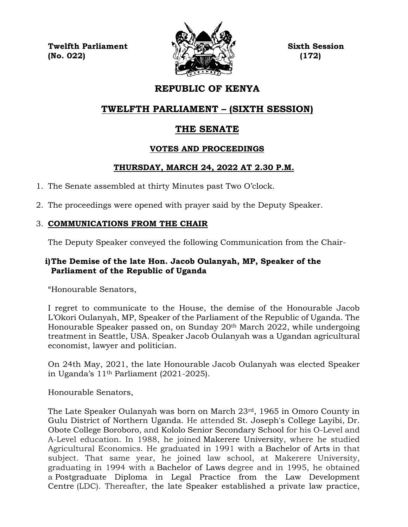**Twelfth Parliament Sixth Session**  $\mathbb{Z} \left( \sum_{i=1}^{n} x_i \right)$  (172)



# **REPUBLIC OF KENYA**

# **TWELFTH PARLIAMENT – (SIXTH SESSION)**

# **THE SENATE**

## **VOTES AND PROCEEDINGS**

## **THURSDAY, MARCH 24, 2022 AT 2.30 P.M.**

- 1. The Senate assembled at thirty Minutes past Two O'clock.
- 2. The proceedings were opened with prayer said by the Deputy Speaker.

## 3. **COMMUNICATIONS FROM THE CHAIR**

The Deputy Speaker conveyed the following Communication from the Chair-

## **i)The Demise of the late Hon. Jacob Oulanyah, MP, Speaker of the Parliament of the Republic of Uganda**

"Honourable Senators,

I regret to communicate to the House, the demise of the Honourable Jacob L'Okori Oulanyah, MP, Speaker of the Parliament of the Republic of Uganda. The Honourable Speaker passed on, on Sunday 20<sup>th</sup> March 2022, while undergoing treatment in Seattle, USA. Speaker Jacob Oulanyah was a Ugandan agricultural economist, lawyer and politician.

On 24th May, 2021, the late Honourable Jacob Oulanyah was elected Speaker in Uganda's 11th Parliament (2021-2025).

Honourable Senators,

The Late Speaker Oulanyah was born on March 23rd, 1965 in Omoro County in Gulu District of Northern Uganda. He attended St. Joseph's College Layibi, Dr. Obote College Boroboro, and Kololo Senior Secondary School for his O-Level and A-Level education. In 1988, he joined Makerere University, where he studied Agricultural Economics. He graduated in 1991 with a Bachelor of Arts in that subject. That same year, he joined law school, at Makerere University, graduating in 1994 with a Bachelor of Laws degree and in 1995, he obtained a Postgraduate Diploma in Legal Practice from the Law Development Centre (LDC). Thereafter, the late Speaker established a private law practice,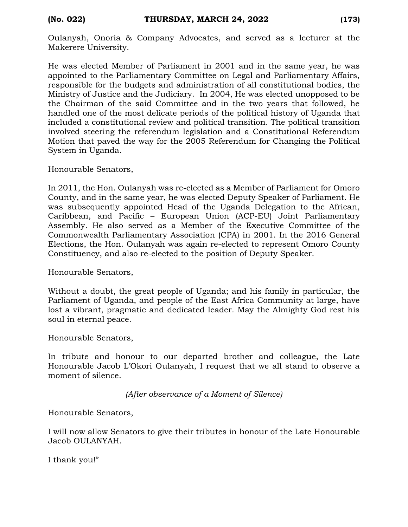Oulanyah, Onoria & Company Advocates, and served as a lecturer at the Makerere University.

He was elected Member of Parliament in 2001 and in the same year, he was appointed to the Parliamentary Committee on Legal and Parliamentary Affairs, responsible for the budgets and administration of all constitutional bodies, the Ministry of Justice and the Judiciary. In 2004, He was elected unopposed to be the Chairman of the said Committee and in the two years that followed, he handled one of the most delicate periods of the political history of Uganda that included a constitutional review and political transition. The political transition involved steering the referendum legislation and a Constitutional Referendum Motion that paved the way for the 2005 Referendum for Changing the Political System in Uganda.

Honourable Senators,

In 2011, the Hon. Oulanyah was re-elected as a Member of Parliament for Omoro County, and in the same year, he was elected Deputy Speaker of Parliament. He was subsequently appointed Head of the Uganda Delegation to the African, Caribbean, and Pacific – European Union (ACP-EU) Joint Parliamentary Assembly. He also served as a Member of the Executive Committee of the Commonwealth Parliamentary Association (CPA) in 2001. In the 2016 General Elections, the Hon. Oulanyah was again re-elected to represent Omoro County Constituency, and also re-elected to the position of Deputy Speaker.

Honourable Senators,

Without a doubt, the great people of Uganda; and his family in particular, the Parliament of Uganda, and people of the East Africa Community at large, have lost a vibrant, pragmatic and dedicated leader. May the Almighty God rest his soul in eternal peace.

Honourable Senators,

In tribute and honour to our departed brother and colleague, the Late Honourable Jacob L'Okori Oulanyah, I request that we all stand to observe a moment of silence.

*(After observance of a Moment of Silence)*

Honourable Senators,

I will now allow Senators to give their tributes in honour of the Late Honourable Jacob OULANYAH.

I thank you!"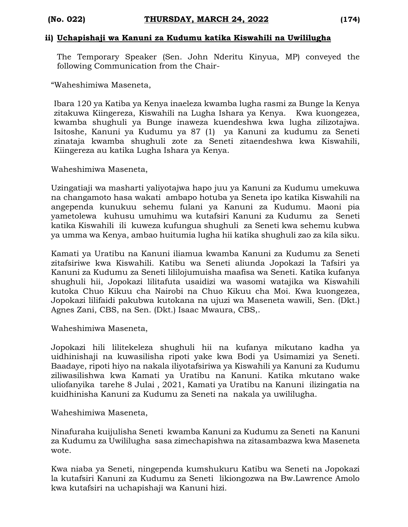#### **ii) Uchapishaji wa Kanuni za Kudumu katika Kiswahili na Uwililugha**

The Temporary Speaker (Sen. John Nderitu Kinyua, MP) conveyed the following Communication from the Chair-

"Waheshimiwa Maseneta,

Ibara 120 ya Katiba ya Kenya inaeleza kwamba lugha rasmi za Bunge la Kenya zitakuwa Kiingereza, Kiswahili na Lugha Ishara ya Kenya. Kwa kuongezea, kwamba shughuli ya Bunge inaweza kuendeshwa kwa lugha zilizotajwa. Isitoshe, Kanuni ya Kudumu ya 87 (1) ya Kanuni za kudumu za Seneti zinataja kwamba shughuli zote za Seneti zitaendeshwa kwa Kiswahili, Kiingereza au katika Lugha Ishara ya Kenya.

Waheshimiwa Maseneta,

Uzingatiaji wa masharti yaliyotajwa hapo juu ya Kanuni za Kudumu umekuwa na changamoto hasa wakati ambapo hotuba ya Seneta ipo katika Kiswahili na angependa kunukuu sehemu fulani ya Kanuni za Kudumu. Maoni pia yametolewa kuhusu umuhimu wa kutafsiri Kanuni za Kudumu za Seneti katika Kiswahili ili kuweza kufungua shughuli za Seneti kwa sehemu kubwa ya umma wa Kenya, ambao huitumia lugha hii katika shughuli zao za kila siku.

Kamati ya Uratibu na Kanuni iliamua kwamba Kanuni za Kudumu za Seneti zitafsiriwe kwa Kiswahili. Katibu wa Seneti aliunda Jopokazi la Tafsiri ya Kanuni za Kudumu za Seneti lililojumuisha maafisa wa Seneti. Katika kufanya shughuli hii, Jopokazi lilitafuta usaidizi wa wasomi watajika wa Kiswahili kutoka Chuo Kikuu cha Nairobi na Chuo Kikuu cha Moi. Kwa kuongezea, Jopokazi lilifaidi pakubwa kutokana na ujuzi wa Maseneta wawili, Sen. (Dkt.) Agnes Zani, CBS, na Sen. (Dkt.) Isaac Mwaura, CBS,.

Waheshimiwa Maseneta,

Jopokazi hili lilitekeleza shughuli hii na kufanya mikutano kadha ya uidhinishaji na kuwasilisha ripoti yake kwa Bodi ya Usimamizi ya Seneti. Baadaye, ripoti hiyo na nakala iliyotafsiriwa ya Kiswahili ya Kanuni za Kudumu ziliwasilishwa kwa Kamati ya Uratibu na Kanuni. Katika mkutano wake uliofanyika tarehe 8 Julai , 2021, Kamati ya Uratibu na Kanuni ilizingatia na kuidhinisha Kanuni za Kudumu za Seneti na nakala ya uwililugha.

Waheshimiwa Maseneta,

Ninafuraha kuijulisha Seneti kwamba Kanuni za Kudumu za Seneti na Kanuni za Kudumu za Uwililugha sasa zimechapishwa na zitasambazwa kwa Maseneta wote.

Kwa niaba ya Seneti, ningependa kumshukuru Katibu wa Seneti na Jopokazi la kutafsiri Kanuni za Kudumu za Seneti likiongozwa na Bw.Lawrence Amolo kwa kutafsiri na uchapishaji wa Kanuni hizi.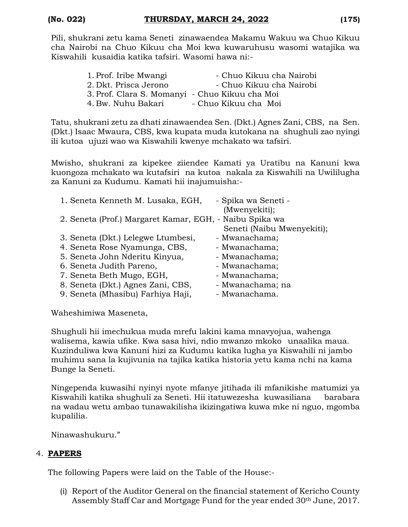Pili, shukrani zetu kama Seneti zinawaendea Makamu Wakuu wa Chuo Kikuu cha Nairobi na Chuo Kikuu cha Moi kwa kuwaruhusu wasomi watajika wa Kiswahili kusaidia katika tafsiri. Wasomi hawa ni:-

| 1. Prof. Iribe Mwangi                          | - Chuo Kikuu cha Nairobi |
|------------------------------------------------|--------------------------|
| 2. Dkt. Prisca Jerono                          | - Chuo Kikuu cha Nairobi |
| 3. Prof. Clara S. Momanyi - Chuo Kikuu cha Moi |                          |
| 4. Bw. Nuhu Bakari                             | - Chuo Kikuu cha Moi     |

Tatu, shukrani zetu za dhati zinawaendea Sen. (Dkt.) Agnes Zani, CBS, na Sen. (Dkt.) Isaac Mwaura, CBS, kwa kupata muda kutokana na shughuli zao nyingi ili kutoa ujuzi wao wa Kiswahili kwenye mchakato wa tafsiri.

Mwisho, shukrani za kipekee ziiendee Kamati ya Uratibu na Kanuni kwa kuongoza mchakato wa kutafsiri na kutoa nakala za Kiswahili na Uwililugha za Kanuni za Kudumu. Kamati hii inajumuisha:-

| 1. Seneta Kenneth M. Lusaka, EGH,                       | - Spika wa Seneti -        |
|---------------------------------------------------------|----------------------------|
|                                                         | (Mwenyekiti);              |
| 2. Seneta (Prof.) Margaret Kamar, EGH, - Naibu Spika wa |                            |
|                                                         | Seneti (Naibu Mwenyekiti); |
| 3. Seneta (Dkt.) Lelegwe Ltumbesi,                      | - Mwanachama;              |
| 4. Seneta Rose Nyamunga, CBS,                           | - Mwanachama;              |
| 5. Seneta John Nderitu Kinyua,                          | - Mwanachama;              |
| 6. Seneta Judith Pareno,                                | - Mwanachama;              |
| 7. Seneta Beth Mugo, EGH,                               | - Mwanachama;              |
| 8. Seneta (Dkt.) Agnes Zani, CBS,                       | - Mwanachama; na           |
| 9. Seneta (Mhasibu) Farhiya Haji,                       | - Mwanachama.              |

Waheshimiwa Maseneta,

Shughuli hii imechukua muda mrefu lakini kama mnavyojua, wahenga walisema, kawia ufike. Kwa sasa hivi, ndio mwanzo mkoko unaalika maua. Kuzinduliwa kwa Kanuni hizi za Kudumu katika lugha ya Kiswahili ni jambo muhimu sana la kujivunia na tajika katika historia yetu kama nchi na kama Bunge la Seneti.

Ningependa kuwasihi nyinyi nyote mfanye jitihada ili mfanikishe matumizi ya Kiswahili katika shughuli za Seneti. Hii itatuwezesha kuwasiliana barabara na wadau wetu ambao tunawakilisha ikizingatiwa kuwa mke ni nguo, mgomba kupalilia.

Ninawashukuru."

## 4. **PAPERS**

The following Papers were laid on the Table of the House:-

(i) Report of the Auditor General on the financial statement of Kericho County Assembly Staff Car and Mortgage Fund for the year ended 30th June, 2017.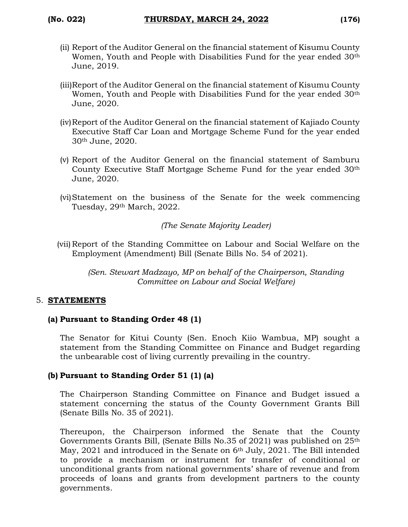- (ii) Report of the Auditor General on the financial statement of Kisumu County Women, Youth and People with Disabilities Fund for the year ended 30<sup>th</sup> June, 2019.
- (iii)Report of the Auditor General on the financial statement of Kisumu County Women, Youth and People with Disabilities Fund for the year ended 30<sup>th</sup> June, 2020.
- (iv)Report of the Auditor General on the financial statement of Kajiado County Executive Staff Car Loan and Mortgage Scheme Fund for the year ended 30th June, 2020.
- (v) Report of the Auditor General on the financial statement of Samburu County Executive Staff Mortgage Scheme Fund for the year ended 30th June, 2020.
- (vi)Statement on the business of the Senate for the week commencing Tuesday, 29th March, 2022.

*(The Senate Majority Leader)*

(vii) Report of the Standing Committee on Labour and Social Welfare on the Employment (Amendment) Bill (Senate Bills No. 54 of 2021).

*(Sen. Stewart Madzayo, MP on behalf of the Chairperson, Standing Committee on Labour and Social Welfare)*

## 5. **STATEMENTS**

### **(a) Pursuant to Standing Order 48 (1)**

The Senator for Kitui County (Sen. Enoch Kiio Wambua, MP) sought a statement from the Standing Committee on Finance and Budget regarding the unbearable cost of living currently prevailing in the country.

## **(b) Pursuant to Standing Order 51 (1) (a)**

The Chairperson Standing Committee on Finance and Budget issued a statement concerning the status of the County Government Grants Bill (Senate Bills No. 35 of 2021).

Thereupon, the Chairperson informed the Senate that the County Governments Grants Bill, (Senate Bills No.35 of 2021) was published on 25th May, 2021 and introduced in the Senate on 6<sup>th</sup> July, 2021. The Bill intended to provide a mechanism or instrument for transfer of conditional or unconditional grants from national governments' share of revenue and from proceeds of loans and grants from development partners to the county governments.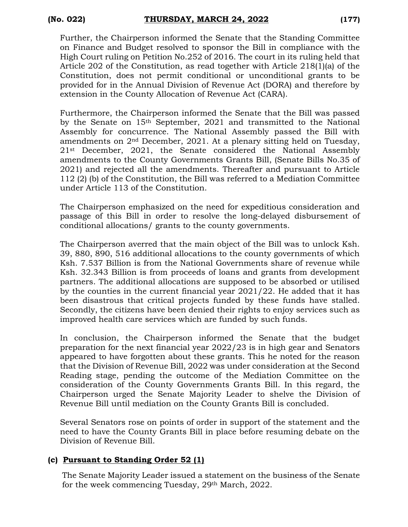Further, the Chairperson informed the Senate that the Standing Committee on Finance and Budget resolved to sponsor the Bill in compliance with the High Court ruling on Petition No.252 of 2016. The court in its ruling held that Article 202 of the Constitution, as read together with Article 218(1)(a) of the Constitution, does not permit conditional or unconditional grants to be provided for in the Annual Division of Revenue Act (DORA) and therefore by extension in the County Allocation of Revenue Act (CARA).

Furthermore, the Chairperson informed the Senate that the Bill was passed by the Senate on 15th September, 2021 and transmitted to the National Assembly for concurrence. The National Assembly passed the Bill with amendments on 2nd December, 2021. At a plenary sitting held on Tuesday, 21st December, 2021, the Senate considered the National Assembly amendments to the County Governments Grants Bill, (Senate Bills No.35 of 2021) and rejected all the amendments. Thereafter and pursuant to Article 112 (2) (b) of the Constitution, the Bill was referred to a Mediation Committee under Article 113 of the Constitution.

The Chairperson emphasized on the need for expeditious consideration and passage of this Bill in order to resolve the long-delayed disbursement of conditional allocations/ grants to the county governments.

The Chairperson averred that the main object of the Bill was to unlock Ksh. 39, 880, 890, 516 additional allocations to the county governments of which Ksh. 7.537 Billion is from the National Governments share of revenue while Ksh. 32.343 Billion is from proceeds of loans and grants from development partners. The additional allocations are supposed to be absorbed or utilised by the counties in the current financial year 2021/22. He added that it has been disastrous that critical projects funded by these funds have stalled. Secondly, the citizens have been denied their rights to enjoy services such as improved health care services which are funded by such funds.

In conclusion, the Chairperson informed the Senate that the budget preparation for the next financial year 2022/23 is in high gear and Senators appeared to have forgotten about these grants. This he noted for the reason that the Division of Revenue Bill, 2022 was under consideration at the Second Reading stage, pending the outcome of the Mediation Committee on the consideration of the County Governments Grants Bill. In this regard, the Chairperson urged the Senate Majority Leader to shelve the Division of Revenue Bill until mediation on the County Grants Bill is concluded.

Several Senators rose on points of order in support of the statement and the need to have the County Grants Bill in place before resuming debate on the Division of Revenue Bill.

## **(c) Pursuant to Standing Order 52 (1)**

The Senate Majority Leader issued a statement on the business of the Senate for the week commencing Tuesday, 29th March, 2022.